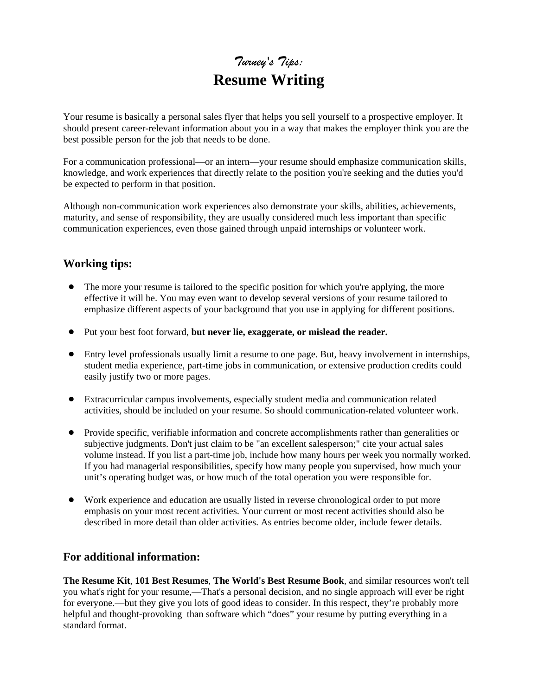## *Turney's Tips:* **Resume Writing**

Your resume is basically a personal sales flyer that helps you sell yourself to a prospective employer. It should present career-relevant information about you in a way that makes the employer think you are the best possible person for the job that needs to be done.

For a communication professional—or an intern—your resume should emphasize communication skills, knowledge, and work experiences that directly relate to the position you're seeking and the duties you'd be expected to perform in that position.

Although non-communication work experiences also demonstrate your skills, abilities, achievements, maturity, and sense of responsibility, they are usually considered much less important than specific communication experiences, even those gained through unpaid internships or volunteer work.

## **Working tips:**

- The more your resume is tailored to the specific position for which you're applying, the more effective it will be. You may even want to develop several versions of your resume tailored to emphasize different aspects of your background that you use in applying for different positions.
- ! Put your best foot forward, **but never lie, exaggerate, or mislead the reader.**
- ! Entry level professionals usually limit a resume to one page. But, heavy involvement in internships, student media experience, part-time jobs in communication, or extensive production credits could easily justify two or more pages.
- ! Extracurricular campus involvements, especially student media and communication related activities, should be included on your resume. So should communication-related volunteer work.
- ! Provide specific, verifiable information and concrete accomplishments rather than generalities or subjective judgments. Don't just claim to be "an excellent salesperson;" cite your actual sales volume instead. If you list a part-time job, include how many hours per week you normally worked. If you had managerial responsibilities, specify how many people you supervised, how much your unit's operating budget was, or how much of the total operation you were responsible for.
- ! Work experience and education are usually listed in reverse chronological order to put more emphasis on your most recent activities. Your current or most recent activities should also be described in more detail than older activities. As entries become older, include fewer details.

## **For additional information:**

**The Resume Kit**, **101 Best Resumes**, **The World's Best Resume Book**, and similar resources won't tell you what's right for your resume,—That's a personal decision, and no single approach will ever be right for everyone.—but they give you lots of good ideas to consider. In this respect, they're probably more helpful and thought-provoking than software which "does" your resume by putting everything in a standard format.